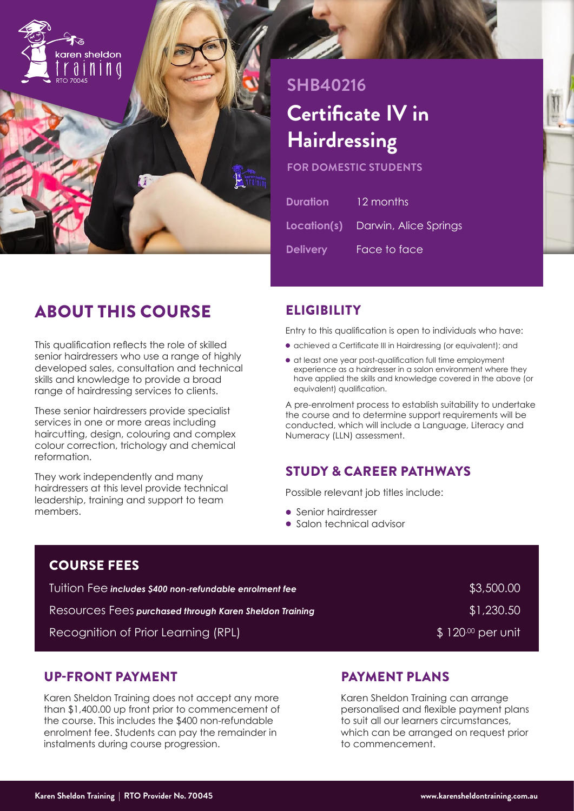

# **SHB40216 Certificate IV in Hairdressing**

**FOR DOMESTIC STUDENTS**

| <b>Duration</b> | 12 months                                |
|-----------------|------------------------------------------|
|                 | <b>Location(s)</b> Darwin, Alice Springs |
| <b>Delivery</b> | Face to face                             |

## ABOUT THIS COURSE

This qualification reflects the role of skilled senior hairdressers who use a range of highly developed sales, consultation and technical skills and knowledge to provide a broad range of hairdressing services to clients.

These senior hairdressers provide specialist services in one or more areas including haircutting, design, colouring and complex colour correction, trichology and chemical reformation.

They work independently and many hairdressers at this level provide technical leadership, training and support to team members.

## **ELIGIBILITY**

Entry to this qualification is open to individuals who have:

- achieved a Certificate III in Hairdressing (or equivalent); and
- at least one year post-qualification full time employment experience as a hairdresser in a salon environment where they have applied the skills and knowledge covered in the above (or equivalent) qualification.

A pre-enrolment process to establish suitability to undertake the course and to determine support requirements will be conducted, which will include a Language, Literacy and Numeracy (LLN) assessment.

## STUDY & CAREER PATHWAYS

Possible relevant job titles include:

- Senior hairdresser
- Salon technical advisor

| <b>COURSE FEES</b>                                             |                               |
|----------------------------------------------------------------|-------------------------------|
| Tuition Fee includes \$400 non-refundable enrolment fee        | \$3,500.00                    |
| <b>Resources Fees purchased through Karen Sheldon Training</b> | \$1,230.50                    |
| Recognition of Prior Learning (RPL)                            | $\frac{1}{2}$ 120.00 per unit |

### UP-FRONT PAYMENT

Karen Sheldon Training does not accept any more than \$1,400.00 up front prior to commencement of the course. This includes the \$400 non-refundable enrolment fee. Students can pay the remainder in instalments during course progression.

## PAYMENT PLANS

Karen Sheldon Training can arrange personalised and flexible payment plans to suit all our learners circumstances, which can be arranged on request prior to commencement.